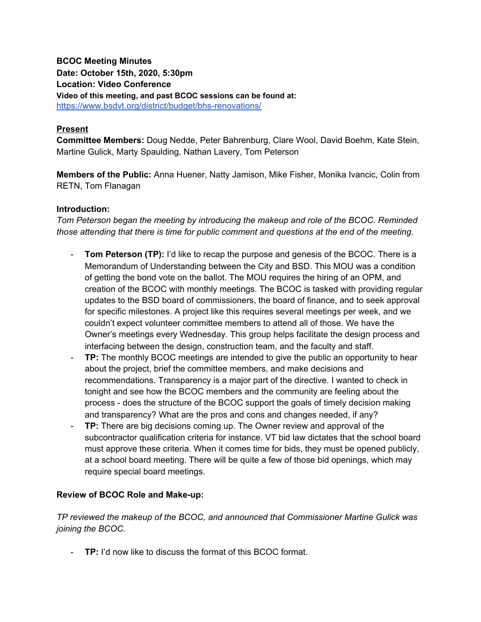# **BCOC Meeting Minutes Date: October 15th, 2020, 5:30pm Location: Video Conference Video of this meeting, and past BCOC sessions can be found at:** <https://www.bsdvt.org/district/budget/bhs-renovations/>

## **Present**

**Committee Members:** Doug Nedde, Peter Bahrenburg, Clare Wool, David Boehm, Kate Stein, Martine Gulick, Marty Spaulding, Nathan Lavery, Tom Peterson

**Members of the Public:** Anna Huener, Natty Jamison, Mike Fisher, Monika Ivancic, Colin from RETN, Tom Flanagan

#### **Introduction:**

*Tom Peterson began the meeting by introducing the makeup and role of the BCOC. Reminded those attending that there is time for public comment and questions at the end of the meeting.*

- **Tom Peterson (TP):** I'd like to recap the purpose and genesis of the BCOC. There is a Memorandum of Understanding between the City and BSD. This MOU was a condition of getting the bond vote on the ballot. The MOU requires the hiring of an OPM, and creation of the BCOC with monthly meetings. The BCOC is tasked with providing regular updates to the BSD board of commissioners, the board of finance, and to seek approval for specific milestones. A project like this requires several meetings per week, and we couldn't expect volunteer committee members to attend all of those. We have the Owner's meetings every Wednesday. This group helps facilitate the design process and interfacing between the design, construction team, and the faculty and staff.
- **TP:** The monthly BCOC meetings are intended to give the public an opportunity to hear about the project, brief the committee members, and make decisions and recommendations. Transparency is a major part of the directive. I wanted to check in tonight and see how the BCOC members and the community are feeling about the process - does the structure of the BCOC support the goals of timely decision making and transparency? What are the pros and cons and changes needed, if any?
- **TP:** There are big decisions coming up. The Owner review and approval of the subcontractor qualification criteria for instance. VT bid law dictates that the school board must approve these criteria. When it comes time for bids, they must be opened publicly, at a school board meeting. There will be quite a few of those bid openings, which may require special board meetings.

#### **Review of BCOC Role and Make-up:**

*TP reviewed the makeup of the BCOC, and announced that Commissioner Martine Gulick was joining the BCOC.*

- **TP:** I'd now like to discuss the format of this BCOC format.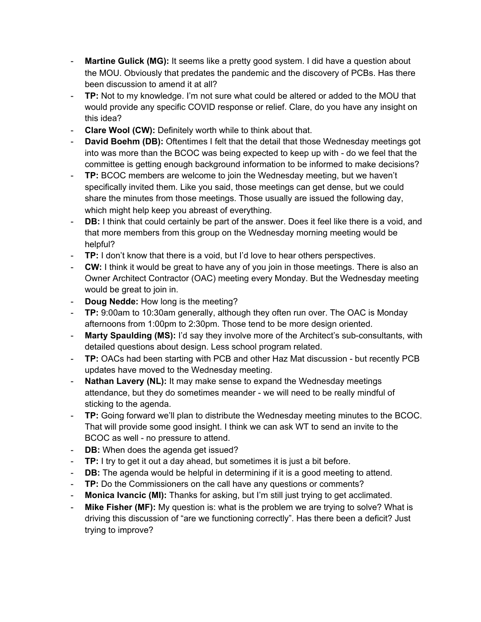- **Martine Gulick (MG):** It seems like a pretty good system. I did have a question about the MOU. Obviously that predates the pandemic and the discovery of PCBs. Has there been discussion to amend it at all?
- **TP:** Not to my knowledge. I'm not sure what could be altered or added to the MOU that would provide any specific COVID response or relief. Clare, do you have any insight on this idea?
- **Clare Wool (CW):** Definitely worth while to think about that.
- **David Boehm (DB):** Oftentimes I felt that the detail that those Wednesday meetings got into was more than the BCOC was being expected to keep up with - do we feel that the committee is getting enough background information to be informed to make decisions?
- **TP:** BCOC members are welcome to join the Wednesday meeting, but we haven't specifically invited them. Like you said, those meetings can get dense, but we could share the minutes from those meetings. Those usually are issued the following day, which might help keep you abreast of everything.
- **DB:** I think that could certainly be part of the answer. Does it feel like there is a void, and that more members from this group on the Wednesday morning meeting would be helpful?
- **TP:** I don't know that there is a void, but I'd love to hear others perspectives.
- **CW:** I think it would be great to have any of you join in those meetings. There is also an Owner Architect Contractor (OAC) meeting every Monday. But the Wednesday meeting would be great to join in.
- **Doug Nedde:** How long is the meeting?
- **TP:** 9:00am to 10:30am generally, although they often run over. The OAC is Monday afternoons from 1:00pm to 2:30pm. Those tend to be more design oriented.
- **Marty Spaulding (MS):** I'd say they involve more of the Architect's sub-consultants, with detailed questions about design. Less school program related.
- **TP:** OACs had been starting with PCB and other Haz Mat discussion but recently PCB updates have moved to the Wednesday meeting.
- **Nathan Lavery (NL):** It may make sense to expand the Wednesday meetings attendance, but they do sometimes meander - we will need to be really mindful of sticking to the agenda.
- **TP:** Going forward we'll plan to distribute the Wednesday meeting minutes to the BCOC. That will provide some good insight. I think we can ask WT to send an invite to the BCOC as well - no pressure to attend.
- **DB:** When does the agenda get issued?
- **TP:** I try to get it out a day ahead, but sometimes it is just a bit before.
- **DB:** The agenda would be helpful in determining if it is a good meeting to attend.
- **TP:** Do the Commissioners on the call have any questions or comments?
- **Monica Ivancic (MI):** Thanks for asking, but I'm still just trying to get acclimated.
- **Mike Fisher (MF):** My question is: what is the problem we are trying to solve? What is driving this discussion of "are we functioning correctly". Has there been a deficit? Just trying to improve?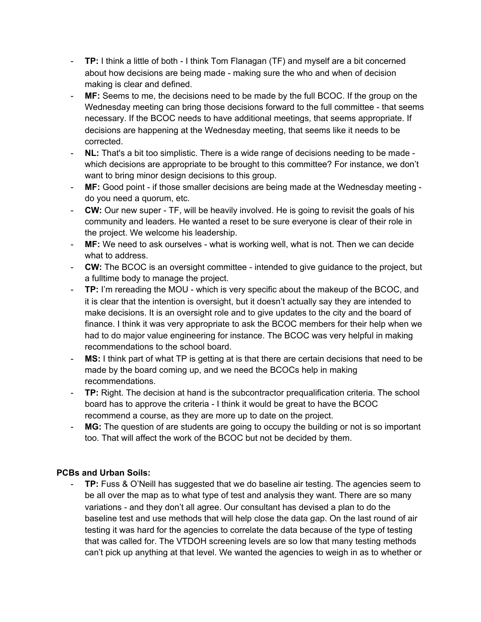- **TP:** I think a little of both I think Tom Flanagan (TF) and myself are a bit concerned about how decisions are being made - making sure the who and when of decision making is clear and defined.
- MF: Seems to me, the decisions need to be made by the full BCOC. If the group on the Wednesday meeting can bring those decisions forward to the full committee - that seems necessary. If the BCOC needs to have additional meetings, that seems appropriate. If decisions are happening at the Wednesday meeting, that seems like it needs to be corrected.
- **NL:** That's a bit too simplistic. There is a wide range of decisions needing to be made which decisions are appropriate to be brought to this committee? For instance, we don't want to bring minor design decisions to this group.
- **MF:** Good point if those smaller decisions are being made at the Wednesday meeting do you need a quorum, etc.
- **CW:** Our new super TF, will be heavily involved. He is going to revisit the goals of his community and leaders. He wanted a reset to be sure everyone is clear of their role in the project. We welcome his leadership.
- **MF:** We need to ask ourselves what is working well, what is not. Then we can decide what to address.
- **CW:** The BCOC is an oversight committee intended to give guidance to the project, but a fulltime body to manage the project.
- **TP:** I'm rereading the MOU which is very specific about the makeup of the BCOC, and it is clear that the intention is oversight, but it doesn't actually say they are intended to make decisions. It is an oversight role and to give updates to the city and the board of finance. I think it was very appropriate to ask the BCOC members for their help when we had to do major value engineering for instance. The BCOC was very helpful in making recommendations to the school board.
- MS: I think part of what TP is getting at is that there are certain decisions that need to be made by the board coming up, and we need the BCOCs help in making recommendations.
- **TP:** Right. The decision at hand is the subcontractor prequalification criteria. The school board has to approve the criteria - I think it would be great to have the BCOC recommend a course, as they are more up to date on the project.
- **MG:** The question of are students are going to occupy the building or not is so important too. That will affect the work of the BCOC but not be decided by them.

# **PCBs and Urban Soils:**

- **TP:** Fuss & O'Neill has suggested that we do baseline air testing. The agencies seem to be all over the map as to what type of test and analysis they want. There are so many variations - and they don't all agree. Our consultant has devised a plan to do the baseline test and use methods that will help close the data gap. On the last round of air testing it was hard for the agencies to correlate the data because of the type of testing that was called for. The VTDOH screening levels are so low that many testing methods can't pick up anything at that level. We wanted the agencies to weigh in as to whether or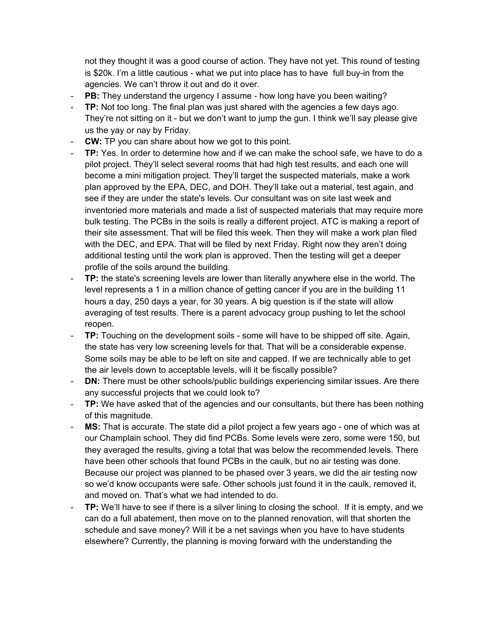not they thought it was a good course of action. They have not yet. This round of testing is \$20k. I'm a little cautious - what we put into place has to have full buy-in from the agencies. We can't throw it out and do it over.

- **PB:** They understand the urgency I assume how long have you been waiting?
- **TP:** Not too long. The final plan was just shared with the agencies a few days ago. They're not sitting on it - but we don't want to jump the gun. I think we'll say please give us the yay or nay by Friday.
- **CW:** TP you can share about how we got to this point.
- **TP:** Yes. In order to determine how and if we can make the school safe, we have to do a pilot project. They'll select several rooms that had high test results, and each one will become a mini mitigation project. They'll target the suspected materials, make a work plan approved by the EPA, DEC, and DOH. They'll take out a material, test again, and see if they are under the state's levels. Our consultant was on site last week and inventoried more materials and made a list of suspected materials that may require more bulk testing. The PCBs in the soils is really a different project. ATC is making a report of their site assessment. That will be filed this week. Then they will make a work plan filed with the DEC, and EPA. That will be filed by next Friday. Right now they aren't doing additional testing until the work plan is approved. Then the testing will get a deeper profile of the soils around the building.
- **TP:** the state's screening levels are lower than literally anywhere else in the world. The level represents a 1 in a million chance of getting cancer if you are in the building 11 hours a day, 250 days a year, for 30 years. A big question is if the state will allow averaging of test results. There is a parent advocacy group pushing to let the school reopen.
- **TP:** Touching on the development soils some will have to be shipped off site. Again, the state has very low screening levels for that. That will be a considerable expense. Some soils may be able to be left on site and capped. If we are technically able to get the air levels down to acceptable levels, will it be fiscally possible?
- **DN:** There must be other schools/public buildings experiencing similar issues. Are there any successful projects that we could look to?
- **TP:** We have asked that of the agencies and our consultants, but there has been nothing of this magnitude.
- **MS:** That is accurate. The state did a pilot project a few years ago one of which was at our Champlain school. They did find PCBs. Some levels were zero, some were 150, but they averaged the results, giving a total that was below the recommended levels. There have been other schools that found PCBs in the caulk, but no air testing was done. Because our project was planned to be phased over 3 years, we did the air testing now so we'd know occupants were safe. Other schools just found it in the caulk, removed it, and moved on. That's what we had intended to do.
- **TP:** We'll have to see if there is a silver lining to closing the school. If it is empty, and we can do a full abatement, then move on to the planned renovation, will that shorten the schedule and save money? Will it be a net savings when you have to have students elsewhere? Currently, the planning is moving forward with the understanding the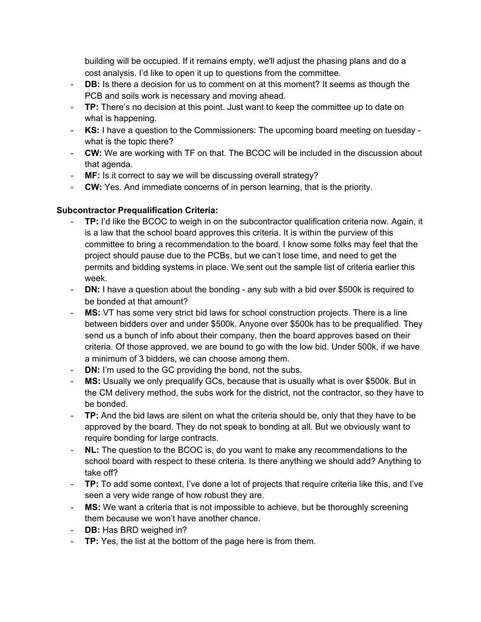building will be occupied. If it remains empty, we'll adjust the phasing plans and do a cost analysis. I'd like to open it up to questions from the committee.

- **DB:** Is there a decision for us to comment on at this moment? It seems as though the PCB and soils work is necessary and moving ahead.
- **TP:** There's no decision at this point. Just want to keep the committee up to date on what is happening.
- **KS:** I have a question to the Commissioners: The upcoming board meeting on tuesday what is the topic there?
- **CW:** We are working with TF on that. The BCOC will be included in the discussion about that agenda.
- **MF:** Is it correct to say we will be discussing overall strategy?
- **CW:** Yes. And immediate concerns of in person learning, that is the priority.

# **Subcontractor Prequalification Criteria:**

- **TP:** I'd like the BCOC to weigh in on the subcontractor qualification criteria now. Again, it is a law that the school board approves this criteria. It is within the purview of this committee to bring a recommendation to the board. I know some folks may feel that the project should pause due to the PCBs, but we can't lose time, and need to get the permits and bidding systems in place. We sent out the sample list of criteria earlier this week.
- **DN:** I have a question about the bonding any sub with a bid over \$500k is required to be bonded at that amount?
- **MS:** VT has some very strict bid laws for school construction projects. There is a line between bidders over and under \$500k. Anyone over \$500k has to be prequalified. They send us a bunch of info about their company, then the board approves based on their criteria. Of those approved, we are bound to go with the low bid. Under 500k, if we have a minimum of 3 bidders, we can choose among them.
- **DN:** I'm used to the GC providing the bond, not the subs.
- **MS:** Usually we only prequalify GCs, because that is usually what is over \$500k. But in the CM delivery method, the subs work for the district, not the contractor, so they have to be bonded.
- **TP:** And the bid laws are silent on what the criteria should be, only that they have to be approved by the board. They do not speak to bonding at all. But we obviously want to require bonding for large contracts.
- **NL:** The question to the BCOC is, do you want to make any recommendations to the school board with respect to these criteria. Is there anything we should add? Anything to take off?
- **TP:** To add some context, I've done a lot of projects that require criteria like this, and I've seen a very wide range of how robust they are.
- **MS:** We want a criteria that is not impossible to achieve, but be thoroughly screening them because we won't have another chance.
- **DB:** Has BRD weighed in?
- **TP:** Yes, the list at the bottom of the page here is from them.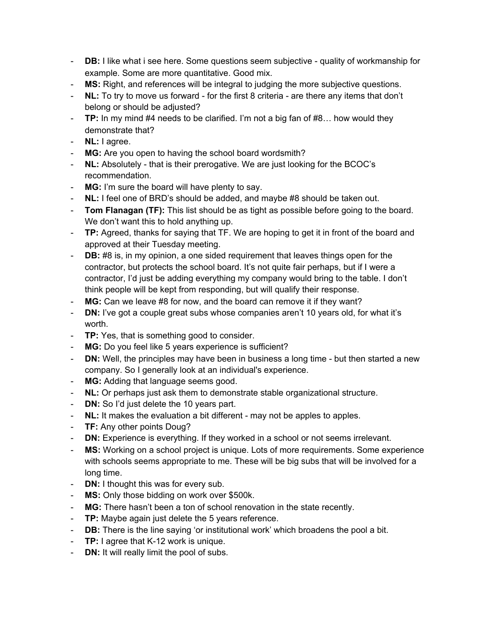- **DB:** I like what i see here. Some questions seem subjective quality of workmanship for example. Some are more quantitative. Good mix.
- **MS:** Right, and references will be integral to judging the more subjective questions.
- **NL:** To try to move us forward for the first 8 criteria are there any items that don't belong or should be adjusted?
- **TP:** In my mind #4 needs to be clarified. I'm not a big fan of #8… how would they demonstrate that?
- **NL:** I agree.
- **MG:** Are you open to having the school board wordsmith?
- **NL:** Absolutely that is their prerogative. We are just looking for the BCOC's recommendation.
- **MG:** I'm sure the board will have plenty to say.
- **NL:** I feel one of BRD's should be added, and maybe #8 should be taken out.
- **Tom Flanagan (TF):** This list should be as tight as possible before going to the board. We don't want this to hold anything up.
- **TP:** Agreed, thanks for saying that TF. We are hoping to get it in front of the board and approved at their Tuesday meeting.
- **DB:** #8 is, in my opinion, a one sided requirement that leaves things open for the contractor, but protects the school board. It's not quite fair perhaps, but if I were a contractor, I'd just be adding everything my company would bring to the table. I don't think people will be kept from responding, but will qualify their response.
- **MG:** Can we leave #8 for now, and the board can remove it if they want?
- **DN:** I've got a couple great subs whose companies aren't 10 years old, for what it's worth.
- **TP:** Yes, that is something good to consider.
- **MG:** Do you feel like 5 years experience is sufficient?
- **DN:** Well, the principles may have been in business a long time but then started a new company. So I generally look at an individual's experience.
- **MG:** Adding that language seems good.
- **NL:** Or perhaps just ask them to demonstrate stable organizational structure.
- **DN:** So I'd just delete the 10 years part.
- **NL:** It makes the evaluation a bit different may not be apples to apples.
- **TF:** Any other points Doug?
- **DN:** Experience is everything. If they worked in a school or not seems irrelevant.
- MS: Working on a school project is unique. Lots of more requirements. Some experience with schools seems appropriate to me. These will be big subs that will be involved for a long time.
- **DN:** I thought this was for every sub.
- **MS:** Only those bidding on work over \$500k.
- **MG:** There hasn't been a ton of school renovation in the state recently.
- **TP:** Maybe again just delete the 5 years reference.
- **DB:** There is the line saying 'or institutional work' which broadens the pool a bit.
- **TP:** I agree that K-12 work is unique.
- **DN:** It will really limit the pool of subs.